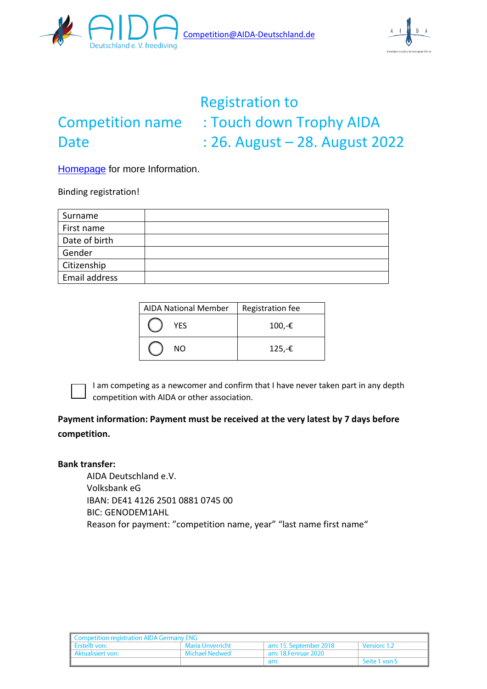



# Registration to Competition name : Touch down Trophy AIDA Date : 26. August – 28. August 2022

[Homepage](https://www.freediving-center-germany.de/competition/?fbclid=IwAR2JxemUTxpo6purMD9EDNUHPU-sFI3pM_u2IXhmj0jaU_ocNKEizHQT28A) for more Information.

Binding registration!

| Surname       |  |
|---------------|--|
| First name    |  |
| Date of birth |  |
| Gender        |  |
| Citizenship   |  |
| Email address |  |

| <b>AIDA National Member</b> | Registration fee |
|-----------------------------|------------------|
| <b>YES</b>                  | 100,-€           |
| NΩ                          | $125,-€$         |



I am competing as a newcomer and confirm that I have never taken part in any depth competition with AIDA or other association.

## **Payment information: Payment must be received at the very latest by 7 days before competition.**

#### **Bank transfer:**

AIDA Deutschland e.V. Volksbank eG IBAN: DE41 4126 2501 0881 0745 00 BIC: GENODEM1AHL Reason for payment: "competition name, year" "last name first name"

| <b>Competition registration AIDA Germany ENG</b> |                  |                        |                     |  |
|--------------------------------------------------|------------------|------------------------|---------------------|--|
| Frstellt von:                                    | Maria Unverricht | am: 15. September 2018 | <b>Version: 1.2</b> |  |
| Aktualisiert von:                                | Michael Nedwed   | am: 18.Fenruar 2020    |                     |  |
|                                                  |                  | am:                    | Seite 1 von 5       |  |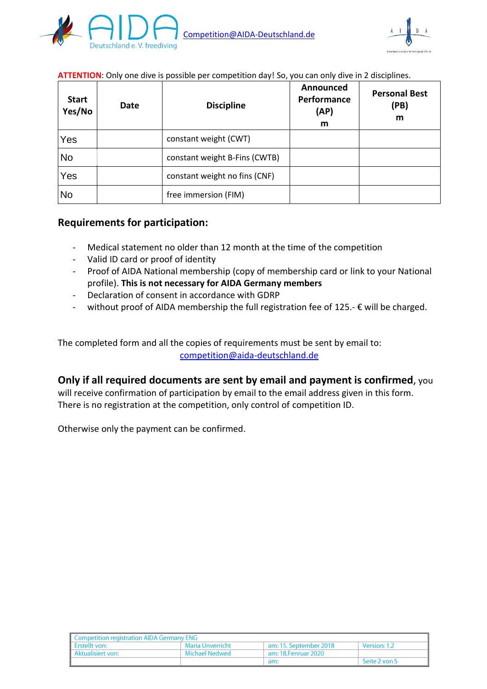



#### **ATTENTION**: Only one dive is possible per competition day! So, you can only dive in 2 disciplines.

| <b>Start</b><br>Yes/No | Date | <b>Discipline</b>             | Announced<br>Performance<br>(AP)<br>m | <b>Personal Best</b><br>(PB)<br>m |
|------------------------|------|-------------------------------|---------------------------------------|-----------------------------------|
| Yes                    |      | constant weight (CWT)         |                                       |                                   |
| <b>No</b>              |      | constant weight B-Fins (CWTB) |                                       |                                   |
| Yes                    |      | constant weight no fins (CNF) |                                       |                                   |
| <b>No</b>              |      | free immersion (FIM)          |                                       |                                   |

### **Requirements for participation:**

- Medical statement no older than 12 month at the time of the competition
- Valid ID card or proof of identity
- Proof of AIDA National membership (copy of membership card or link to your National profile). **This is not necessary for AIDA Germany members**
- Declaration of consent in accordance with GDRP
- without proof of AIDA membership the full registration fee of 125.-  $\epsilon$  will be charged.

The completed form and all the copies of requirements must be sent by email to: [competition@aida-deutschland.de](mailto:competition@aida-deutschland.de?subject=Registration%20competition)

#### **Only if all required documents are sent by email and payment is confirmed**, you

will receive confirmation of participation by email to the email address given in this form. There is no registration at the competition, only control of competition ID.

Otherwise only the payment can be confirmed.

| <b>Competition registration AIDA Germany ENG</b> |                  |                        |               |  |
|--------------------------------------------------|------------------|------------------------|---------------|--|
| Frstellt von:                                    | Maria Unverricht | am: 15. September 2018 | Version: 1.2  |  |
| Aktualisiert von:                                | Michael Nedwed   | am: 18.Fenruar 2020    |               |  |
|                                                  |                  | am:                    | Seite 2 von 5 |  |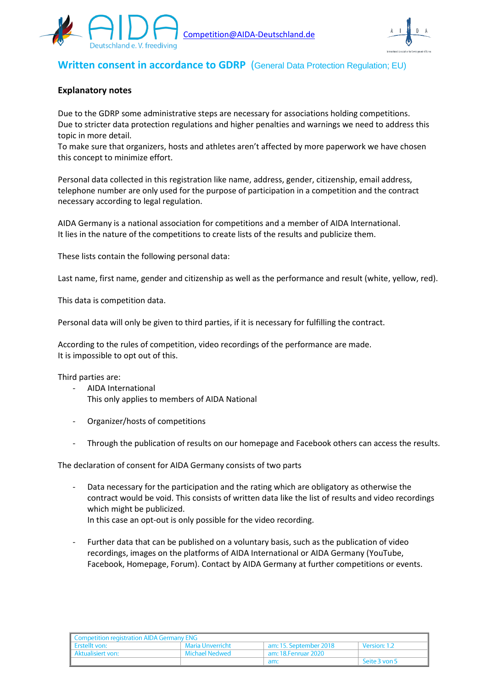



## **Written consent in accordance to GDRP** (General Data Protection Regulation; EU)

#### **Explanatory notes**

Due to the GDRP some administrative steps are necessary for associations holding competitions. Due to stricter data protection regulations and higher penalties and warnings we need to address this topic in more detail.

To make sure that organizers, hosts and athletes aren't affected by more paperwork we have chosen this concept to minimize effort.

Personal data collected in this registration like name, address, gender, citizenship, email address, telephone number are only used for the purpose of participation in a competition and the contract necessary according to legal regulation.

AIDA Germany is a national association for competitions and a member of AIDA International. It lies in the nature of the competitions to create lists of the results and publicize them.

These lists contain the following personal data:

Last name, first name, gender and citizenship as well as the performance and result (white, yellow, red).

This data is competition data.

Personal data will only be given to third parties, if it is necessary for fulfilling the contract.

According to the rules of competition, video recordings of the performance are made. It is impossible to opt out of this.

Third parties are:

- AIDA International This only applies to members of AIDA National
- Organizer/hosts of competitions
- Through the publication of results on our homepage and Facebook others can access the results.

The declaration of consent for AIDA Germany consists of two parts

- Data necessary for the participation and the rating which are obligatory as otherwise the contract would be void. This consists of written data like the list of results and video recordings which might be publicized. In this case an opt-out is only possible for the video recording.
- Further data that can be published on a voluntary basis, such as the publication of video recordings, images on the platforms of AIDA International or AIDA Germany (YouTube, Facebook, Homepage, Forum). Contact by AIDA Germany at further competitions or events.

| Competition registration AIDA Germany ENG |                  |                        |               |  |
|-------------------------------------------|------------------|------------------------|---------------|--|
| Frstellt von:                             | Maria Unverricht | am: 15. September 2018 | Version: 1.2  |  |
| Aktualisiert von:                         | Michael Nedwed   | am: 18.Fenruar 2020    |               |  |
|                                           |                  | am:                    | Seite 3 von 5 |  |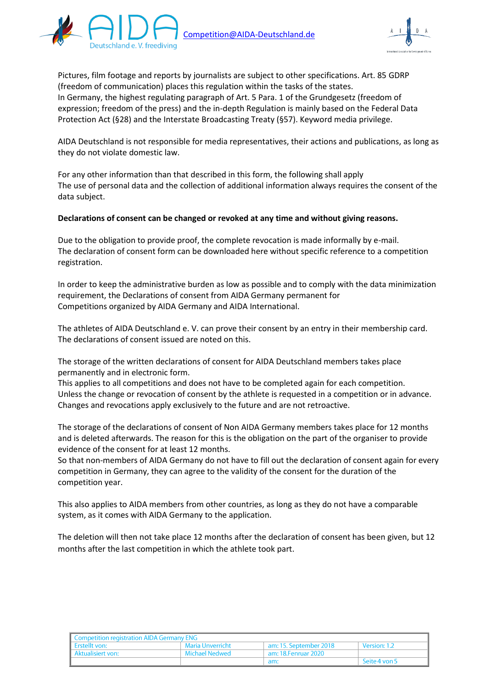



Pictures, film footage and reports by journalists are subject to other specifications. Art. 85 GDRP (freedom of communication) places this regulation within the tasks of the states. In Germany, the highest regulating paragraph of Art. 5 Para. 1 of the Grundgesetz (freedom of expression; freedom of the press) and the in-depth Regulation is mainly based on the Federal Data Protection Act (§28) and the Interstate Broadcasting Treaty (§57). Keyword media privilege.

AIDA Deutschland is not responsible for media representatives, their actions and publications, as long as they do not violate domestic law.

For any other information than that described in this form, the following shall apply The use of personal data and the collection of additional information always requires the consent of the data subject.

#### **Declarations of consent can be changed or revoked at any time and without giving reasons.**

Due to the obligation to provide proof, the complete revocation is made informally by e-mail. The declaration of consent form can be downloaded here without specific reference to a competition registration.

In order to keep the administrative burden as low as possible and to comply with the data minimization requirement, the Declarations of consent from AIDA Germany permanent for Competitions organized by AIDA Germany and AIDA International.

The athletes of AIDA Deutschland e. V. can prove their consent by an entry in their membership card. The declarations of consent issued are noted on this.

The storage of the written declarations of consent for AIDA Deutschland members takes place permanently and in electronic form.

This applies to all competitions and does not have to be completed again for each competition. Unless the change or revocation of consent by the athlete is requested in a competition or in advance. Changes and revocations apply exclusively to the future and are not retroactive.

The storage of the declarations of consent of Non AIDA Germany members takes place for 12 months and is deleted afterwards. The reason for this is the obligation on the part of the organiser to provide evidence of the consent for at least 12 months.

So that non-members of AIDA Germany do not have to fill out the declaration of consent again for every competition in Germany, they can agree to the validity of the consent for the duration of the competition year.

This also applies to AIDA members from other countries, as long as they do not have a comparable system, as it comes with AIDA Germany to the application.

The deletion will then not take place 12 months after the declaration of consent has been given, but 12 months after the last competition in which the athlete took part.

| Competition registration AIDA Germany ENG |                  |                        |               |  |
|-------------------------------------------|------------------|------------------------|---------------|--|
| Erstellt von:                             | Maria Unverricht | am: 15. September 2018 | Version: 1.2  |  |
| Aktualisiert von:                         | Michael Nedwed   | ° am: 18.Fenruar 2020  |               |  |
|                                           |                  | am:                    | Seite 4 von 5 |  |